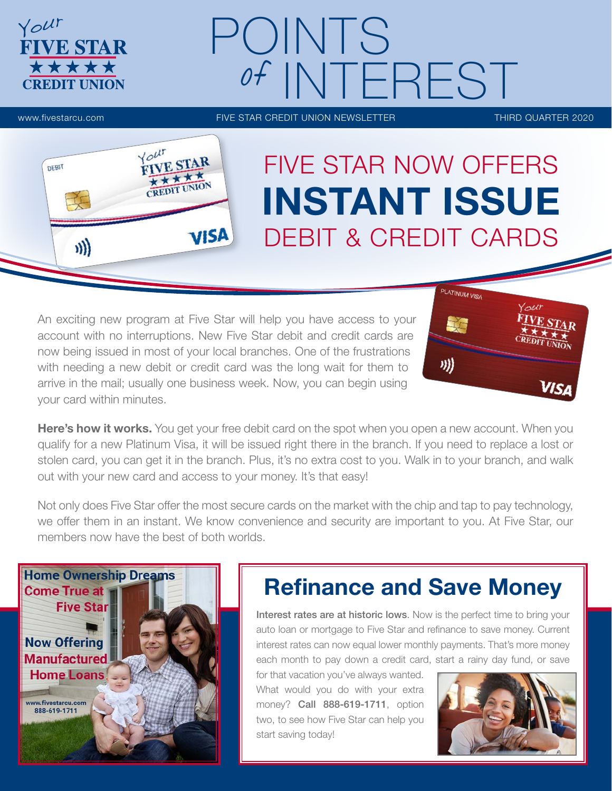# POINTS of INTEREST

**FIVE STAR** \*\*\*\*\* **CREDIT UNION** 

Your

www.fivestarcu.com **FIVE STAR CREDIT UNION NEWSLETTER** THIRD QUARTER 2020



## FIVE STAR NOW OFFERS INSTANT ISSUE DEBIT & CREDIT CARDS

An exciting new program at Five Star will help you have access to your account with no interruptions. New Five Star debit and credit cards are now being issued in most of your local branches. One of the frustrations with needing a new debit or credit card was the long wait for them to arrive in the mail; usually one business week. Now, you can begin using your card within minutes.



Here's how it works. You get your free debit card on the spot when you open a new account. When you qualify for a new Platinum Visa, it will be issued right there in the branch. If you need to replace a lost or stolen card, you can get it in the branch. Plus, it's no extra cost to you. Walk in to your branch, and walk out with your new card and access to your money. It's that easy!

Not only does Five Star offer the most secure cards on the market with the chip and tap to pay technology, we offer them in an instant. We know convenience and security are important to you. At Five Star, our members now have the best of both worlds.



## Refinance and Save Money

Interest rates are at historic lows. Now is the perfect time to bring your auto loan or mortgage to Five Star and refinance to save money. Current interest rates can now equal lower monthly payments. That's more money each month to pay down a credit card, start a rainy day fund, or save

for that vacation you've always wanted. What would you do with your extra money? Call 888-619-1711, option two, to see how Five Star can help you start saving today!